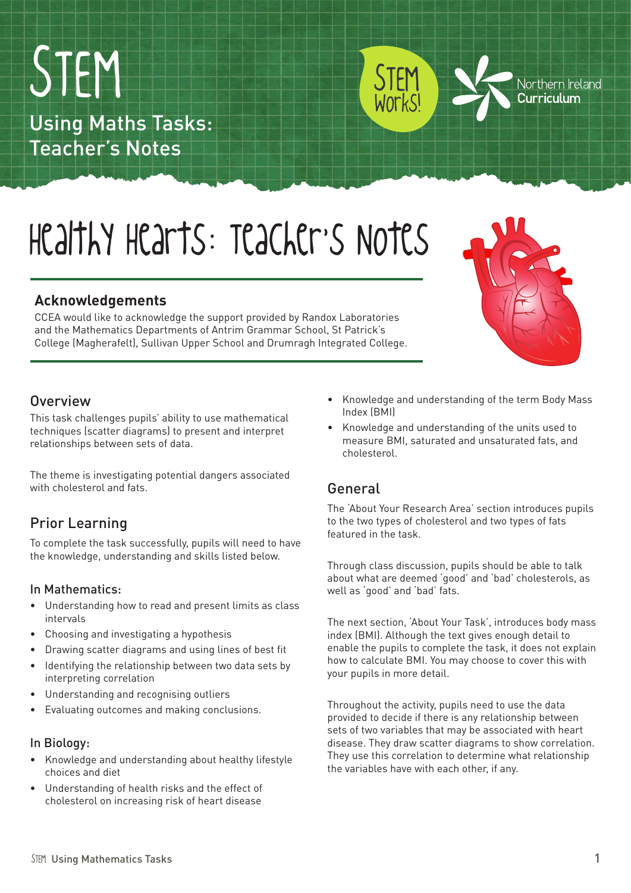STEM Using Mathematics Tasks 1

# STEM Using Maths Tasks: Teacher's Notes

# Healthy Hearts: Teacher's Notes

# **Acknowledgements**

CCEA would like to acknowledge the support provided by Randox Laboratories and the Mathematics Departments of Antrim Grammar School, St Patrick's College (Magherafelt), Sullivan Upper School and Drumragh Integrated College.

### **Overview**

This task challenges pupils' ability to use mathematical techniques (scatter diagrams) to present and interpret relationships between sets of data.

The theme is investigating potential dangers associated with cholesterol and fats.

# Prior Learning

To complete the task successfully, pupils will need to have the knowledge, understanding and skills listed below.

#### In Mathematics:

- • Understanding how to read and present limits as class intervals
- Choosing and investigating a hypothesis
- • Drawing scatter diagrams and using lines of best fit
- Identifying the relationship between two data sets by interpreting correlation
- • Understanding and recognising outliers
- • Evaluating outcomes and making conclusions.

#### In Biology:

- • Knowledge and understanding about healthy lifestyle choices and diet
- • Understanding of health risks and the effect of cholesterol on increasing risk of heart disease
- • Knowledge and understanding of the term Body Mass Index (BMI)
- Knowledge and understanding of the units used to measure BMI, saturated and unsaturated fats, and cholesterol.

# General

The 'About Your Research Area' section introduces pupils to the two types of cholesterol and two types of fats featured in the task.

Through class discussion, pupils should be able to talk about what are deemed 'good' and 'bad' cholesterols, as well as 'good' and 'bad' fats.

The next section, 'About Your Task', introduces body mass index (BMI). Although the text gives enough detail to enable the pupils to complete the task, it does not explain how to calculate BMI. You may choose to cover this with your pupils in more detail.

Throughout the activity, pupils need to use the data provided to decide if there is any relationship between sets of two variables that may be associated with heart disease. They draw scatter diagrams to show correlation. They use this correlation to determine what relationship the variables have with each other, if any.



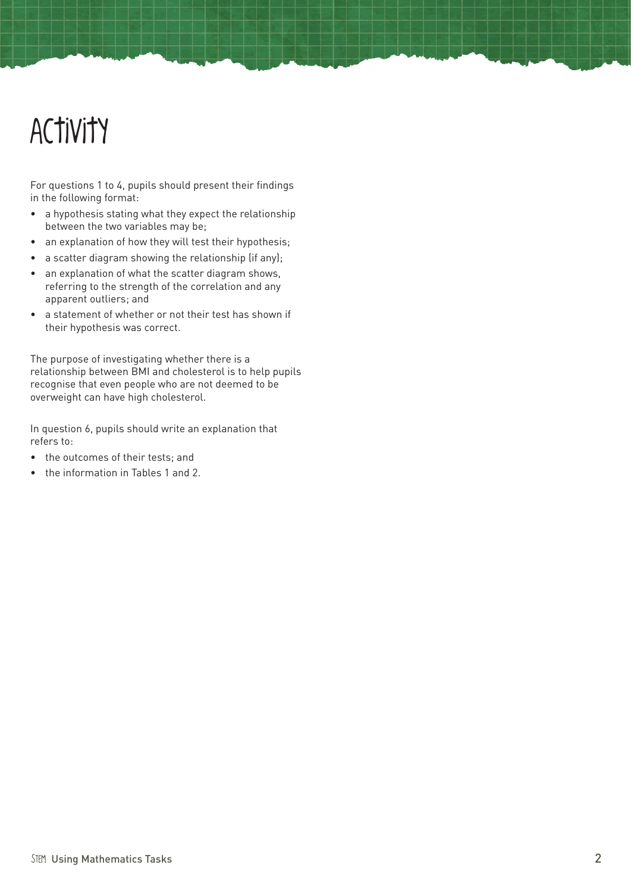# Activity

For questions 1 to 4, pupils should present their findings in the following format:

- a hypothesis stating what they expect the relationship between the two variables may be;
- an explanation of how they will test their hypothesis;
- a scatter diagram showing the relationship (if any);
- an explanation of what the scatter diagram shows, referring to the strength of the correlation and any apparent outliers; and
- • a statement of whether or not their test has shown if their hypothesis was correct.

The purpose of investigating whether there is a relationship between BMI and cholesterol is to help pupils recognise that even people who are not deemed to be overweight can have high cholesterol.

In question 6, pupils should write an explanation that refers to:

- the outcomes of their tests; and
- • the information in Tables 1 and 2.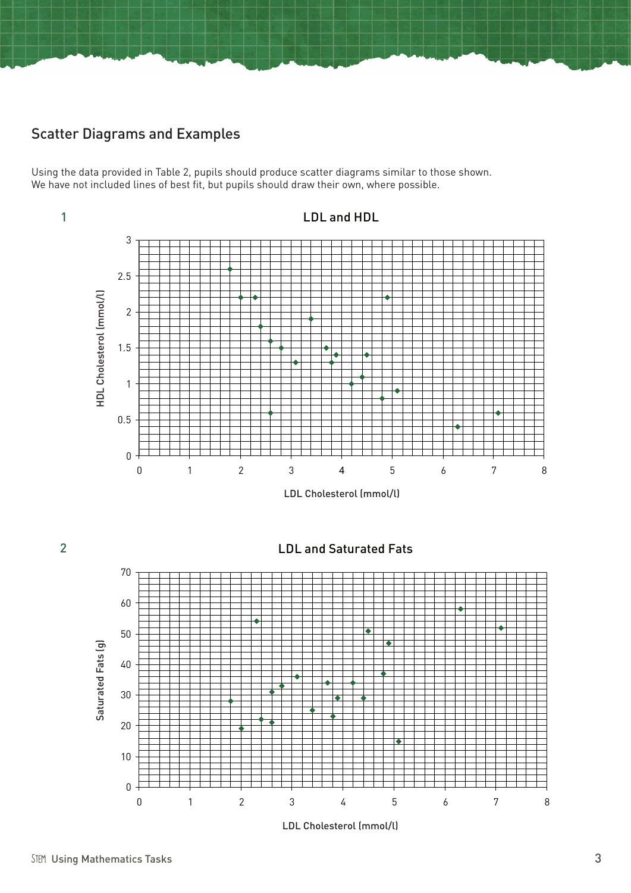# Scatter Diagrams and Examples

Using the data provided in Table 2, pupils should produce scatter diagrams similar to those shown. We have not included lines of best fit, but pupils should draw their own, where possible.





0 1 2 3 4 5 6 7 8

0

10

20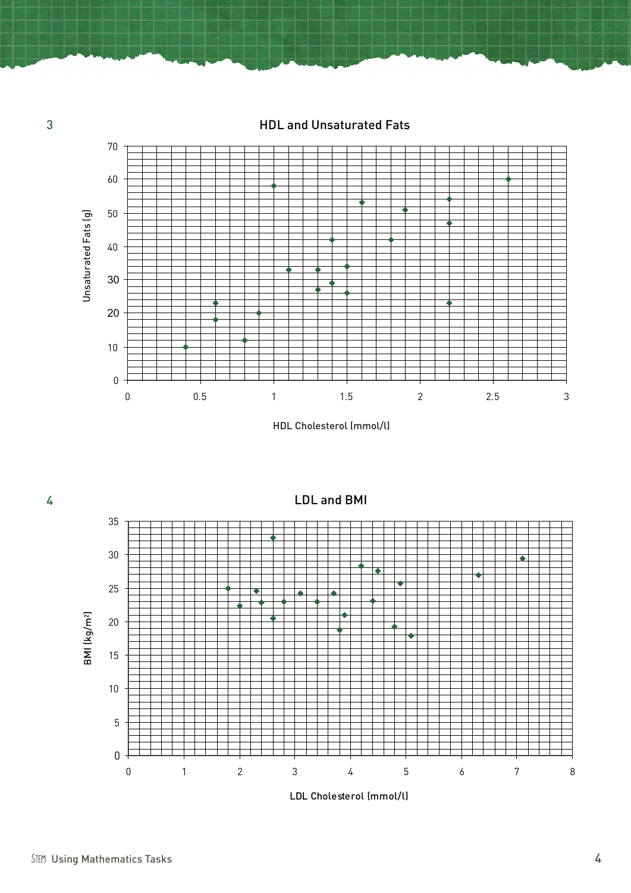HDL and Unsaturated Fats



HDL Cholesterol (mmol/l)



LDL Cholesterol (mmol/l)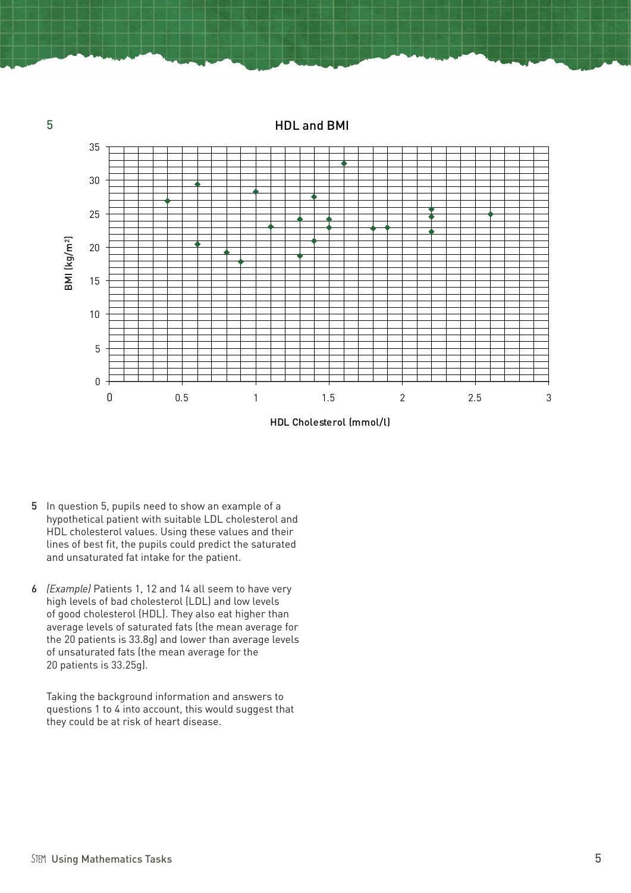HDL and BMI



HDL Cholesterol (mmol/l)

- 5 In question 5, pupils need to show an example of a hypothetical patient with suitable LDL cholesterol and HDL cholesterol values. Using these values and their lines of best fit, the pupils could predict the saturated and unsaturated fat intake for the patient.
- 6 *(Example)* Patients 1, 12 and 14 all seem to have very high levels of bad cholesterol (LDL) and low levels of good cholesterol (HDL). They also eat higher than average levels of saturated fats (the mean average for the 20 patients is 33.8g) and lower than average levels of unsaturated fats (the mean average for the 20 patients is 33.25g).

Taking the background information and answers to questions 1 to 4 into account, this would suggest that they could be at risk of heart disease.

5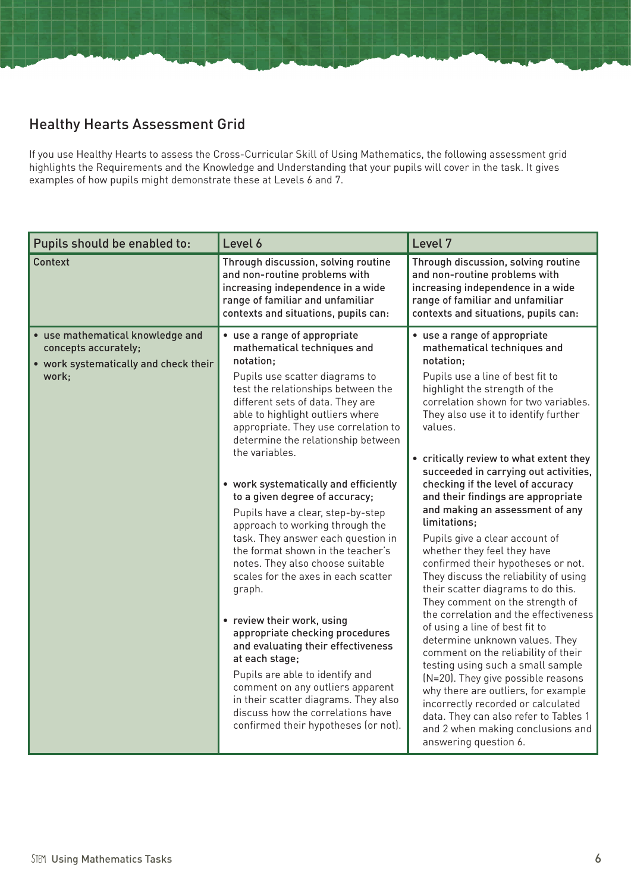# Healthy Hearts Assessment Grid

If you use Healthy Hearts to assess the Cross-Curricular Skill of Using Mathematics, the following assessment grid highlights the Requirements and the Knowledge and Understanding that your pupils will cover in the task. It gives examples of how pupils might demonstrate these at Levels 6 and 7.

| Pupils should be enabled to:                                                                               | Level 6                                                                                                                                                                                                                                                                                                                                                                                                                                                                                                                                                                                                                                                                                                                                                                                                                                                                                                                                                          | Level 7                                                                                                                                                                                                                                                                                                                                                                                                                                                                                                                                                                                                                                                                                                                                                                                                                                                                                                                                                                                                                                                                                                |
|------------------------------------------------------------------------------------------------------------|------------------------------------------------------------------------------------------------------------------------------------------------------------------------------------------------------------------------------------------------------------------------------------------------------------------------------------------------------------------------------------------------------------------------------------------------------------------------------------------------------------------------------------------------------------------------------------------------------------------------------------------------------------------------------------------------------------------------------------------------------------------------------------------------------------------------------------------------------------------------------------------------------------------------------------------------------------------|--------------------------------------------------------------------------------------------------------------------------------------------------------------------------------------------------------------------------------------------------------------------------------------------------------------------------------------------------------------------------------------------------------------------------------------------------------------------------------------------------------------------------------------------------------------------------------------------------------------------------------------------------------------------------------------------------------------------------------------------------------------------------------------------------------------------------------------------------------------------------------------------------------------------------------------------------------------------------------------------------------------------------------------------------------------------------------------------------------|
| Context                                                                                                    | Through discussion, solving routine<br>and non-routine problems with<br>increasing independence in a wide<br>range of familiar and unfamiliar<br>contexts and situations, pupils can:                                                                                                                                                                                                                                                                                                                                                                                                                                                                                                                                                                                                                                                                                                                                                                            | Through discussion, solving routine<br>and non-routine problems with<br>increasing independence in a wide<br>range of familiar and unfamiliar<br>contexts and situations, pupils can:                                                                                                                                                                                                                                                                                                                                                                                                                                                                                                                                                                                                                                                                                                                                                                                                                                                                                                                  |
| • use mathematical knowledge and<br>concepts accurately;<br>• work systematically and check their<br>work; | • use a range of appropriate<br>mathematical techniques and<br>notation:<br>Pupils use scatter diagrams to<br>test the relationships between the<br>different sets of data. They are<br>able to highlight outliers where<br>appropriate. They use correlation to<br>determine the relationship between<br>the variables.<br>• work systematically and efficiently<br>to a given degree of accuracy;<br>Pupils have a clear, step-by-step<br>approach to working through the<br>task. They answer each question in<br>the format shown in the teacher's<br>notes. They also choose suitable<br>scales for the axes in each scatter<br>graph.<br>• review their work, using<br>appropriate checking procedures<br>and evaluating their effectiveness<br>at each stage;<br>Pupils are able to identify and<br>comment on any outliers apparent<br>in their scatter diagrams. They also<br>discuss how the correlations have<br>confirmed their hypotheses (or not). | • use a range of appropriate<br>mathematical techniques and<br>notation:<br>Pupils use a line of best fit to<br>highlight the strength of the<br>correlation shown for two variables.<br>They also use it to identify further<br>values.<br>• critically review to what extent they<br>succeeded in carrying out activities,<br>checking if the level of accuracy<br>and their findings are appropriate<br>and making an assessment of any<br>limitations;<br>Pupils give a clear account of<br>whether they feel they have<br>confirmed their hypotheses or not.<br>They discuss the reliability of using<br>their scatter diagrams to do this.<br>They comment on the strength of<br>the correlation and the effectiveness<br>of using a line of best fit to<br>determine unknown values. They<br>comment on the reliability of their<br>testing using such a small sample<br>(N=20). They give possible reasons<br>why there are outliers, for example<br>incorrectly recorded or calculated<br>data. They can also refer to Tables 1<br>and 2 when making conclusions and<br>answering question 6. |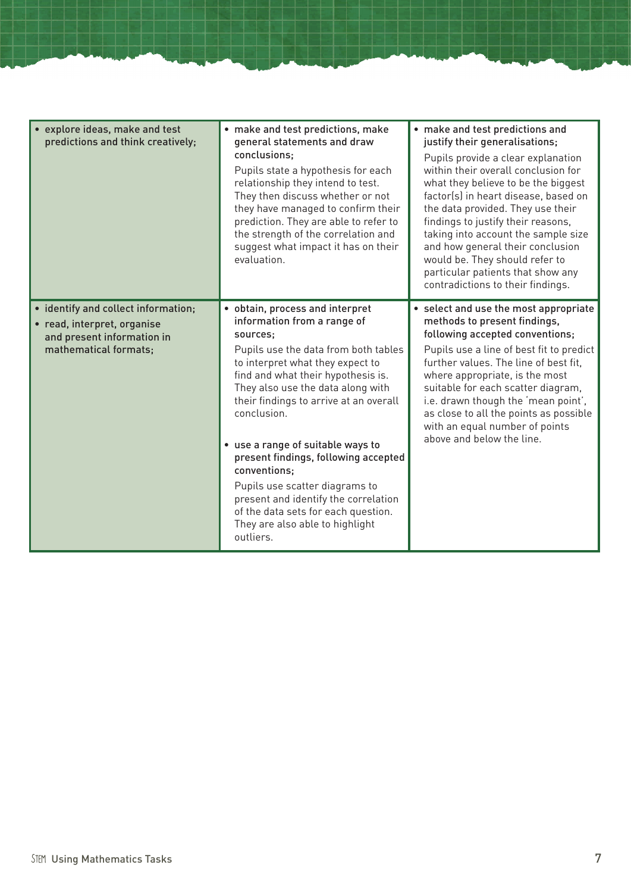| • explore ideas, make and test<br>predictions and think creatively;                                                       | • make and test predictions, make<br>general statements and draw<br>conclusions:<br>Pupils state a hypothesis for each<br>relationship they intend to test.<br>They then discuss whether or not<br>they have managed to confirm their<br>prediction. They are able to refer to<br>the strength of the correlation and<br>suggest what impact it has on their<br>evaluation.                                                                                                                                                                              | • make and test predictions and<br>justify their generalisations;<br>Pupils provide a clear explanation<br>within their overall conclusion for<br>what they believe to be the biggest<br>factor(s) in heart disease, based on<br>the data provided. They use their<br>findings to justify their reasons,<br>taking into account the sample size<br>and how general their conclusion<br>would be. They should refer to<br>particular patients that show any<br>contradictions to their findings. |
|---------------------------------------------------------------------------------------------------------------------------|----------------------------------------------------------------------------------------------------------------------------------------------------------------------------------------------------------------------------------------------------------------------------------------------------------------------------------------------------------------------------------------------------------------------------------------------------------------------------------------------------------------------------------------------------------|-------------------------------------------------------------------------------------------------------------------------------------------------------------------------------------------------------------------------------------------------------------------------------------------------------------------------------------------------------------------------------------------------------------------------------------------------------------------------------------------------|
| • identify and collect information;<br>• read, interpret, organise<br>and present information in<br>mathematical formats; | • obtain, process and interpret<br>information from a range of<br>sources;<br>Pupils use the data from both tables<br>to interpret what they expect to<br>find and what their hypothesis is.<br>They also use the data along with<br>their findings to arrive at an overall<br>conclusion.<br>• use a range of suitable ways to<br>present findings, following accepted<br>conventions;<br>Pupils use scatter diagrams to<br>present and identify the correlation<br>of the data sets for each question.<br>They are also able to highlight<br>outliers. | • select and use the most appropriate<br>methods to present findings,<br>following accepted conventions;<br>Pupils use a line of best fit to predict<br>further values. The line of best fit,<br>where appropriate, is the most<br>suitable for each scatter diagram,<br>i.e. drawn though the 'mean point',<br>as close to all the points as possible<br>with an equal number of points<br>above and below the line.                                                                           |